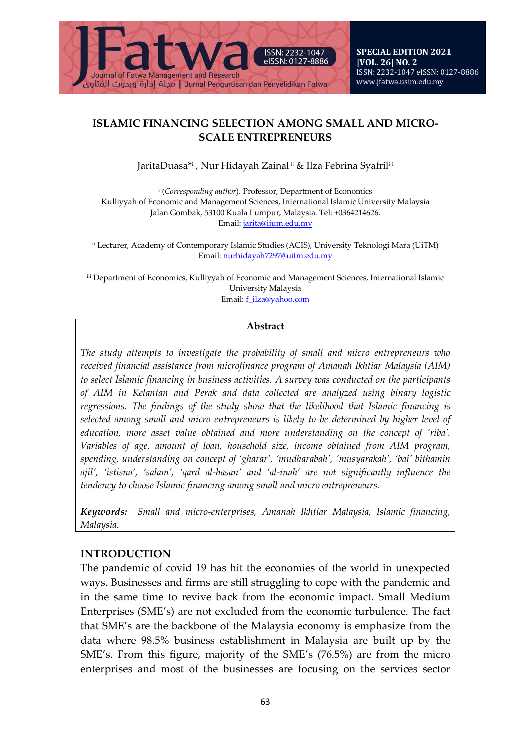

### **ISLAMIC FINANCING SELECTION AMONG SMALL AND MICRO-SCALE ENTREPRENEURS**

JaritaDuasa\*i, Nur Hidayah Zainal ii & Ilza Febrina Syafriliii

<sup>i</sup> (*Corresponding author*). Professor, Department of Economics Kulliyyah of Economic and Management Sciences, International Islamic University Malaysia Jalan Gombak, 53100 Kuala Lumpur, Malaysia. Tel: +0364214626. Email[: jarita@iium.edu.my](mailto:jarita@iium.edu.my)

ii Lecturer, Academy of Contemporary Islamic Studies (ACIS), University Teknologi Mara (UiTM) Email[: nurhidayah7297@uitm.edu.my](mailto:nurhidayah7297@uitm.edu.my)

iii Department of Economics, Kulliyyah of Economic and Management Sciences, International Islamic University Malaysia Email[: f\\_ilza@yahoo.com](mailto:f_ilza@yahoo.com)

#### **Abstract**

*The study attempts to investigate the probability of small and micro entrepreneurs who received financial assistance from microfinance program of Amanah Ikhtiar Malaysia (AIM) to select Islamic financing in business activities. A survey was conducted on the participants of AIM in Kelantan and Perak and data collected are analyzed using binary logistic regressions. The findings of the study show that the likelihood that Islamic financing is selected among small and micro entrepreneurs is likely to be determined by higher level of education, more asset value obtained and more understanding on the concept of 'riba'. Variables of age, amount of loan, household size, income obtained from AIM program, spending, understanding on concept of 'gharar', 'mudharabah', 'musyarakah', 'bai' bithamin ajil', 'istisna', 'salam', 'qard al-hasan' and 'al-inah' are not significantly influence the tendency to choose Islamic financing among small and micro entrepreneurs.*

*Keywords: Small and micro-enterprises, Amanah Ikhtiar Malaysia, Islamic financing, Malaysia.*

## **INTRODUCTION**

The pandemic of covid 19 has hit the economies of the world in unexpected ways. Businesses and firms are still struggling to cope with the pandemic and in the same time to revive back from the economic impact. Small Medium Enterprises (SME's) are not excluded from the economic turbulence. The fact that SME's are the backbone of the Malaysia economy is emphasize from the data where 98.5% business establishment in Malaysia are built up by the SME's. From this figure, majority of the SME's (76.5%) are from the micro enterprises and most of the businesses are focusing on the services sector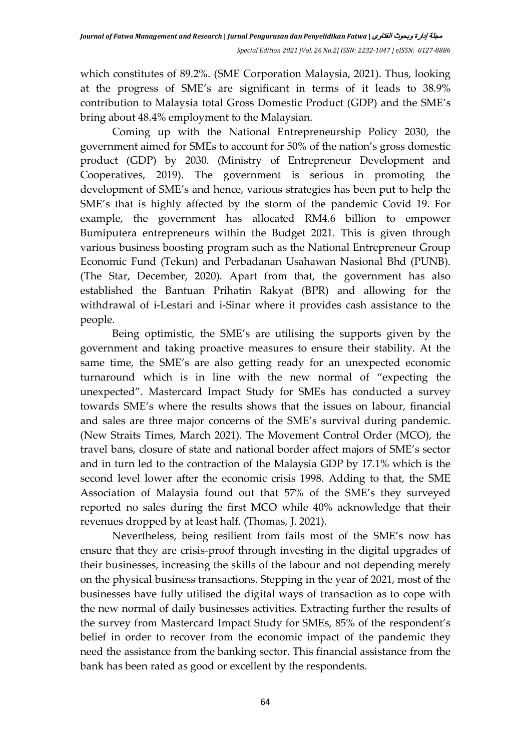which constitutes of 89.2%. (SME Corporation Malaysia, 2021). Thus, looking at the progress of SME's are significant in terms of it leads to 38.9% contribution to Malaysia total Gross Domestic Product (GDP) and the SME's bring about 48.4% employment to the Malaysian.

Coming up with the National Entrepreneurship Policy 2030, the government aimed for SMEs to account for 50% of the nation's gross domestic product (GDP) by 2030. (Ministry of Entrepreneur Development and Cooperatives, 2019). The government is serious in promoting the development of SME's and hence, various strategies has been put to help the SME's that is highly affected by the storm of the pandemic Covid 19. For example, the government has allocated RM4.6 billion to empower Bumiputera entrepreneurs within the Budget 2021. This is given through various business boosting program such as the National Entrepreneur Group Economic Fund (Tekun) and Perbadanan Usahawan Nasional Bhd (PUNB). (The Star, December, 2020). Apart from that, the government has also established the Bantuan Prihatin Rakyat (BPR) and allowing for the withdrawal of i-Lestari and i-Sinar where it provides cash assistance to the people.

Being optimistic, the SME's are utilising the supports given by the government and taking proactive measures to ensure their stability. At the same time, the SME's are also getting ready for an unexpected economic turnaround which is in line with the new normal of "expecting the unexpected". Mastercard Impact Study for SMEs has conducted a survey towards SME's where the results shows that the issues on labour, financial and sales are three major concerns of the SME's survival during pandemic. (New Straits Times, March 2021). The Movement Control Order (MCO), the travel bans, closure of state and national border affect majors of SME's sector and in turn led to the contraction of the Malaysia GDP by 17.1% which is the second level lower after the economic crisis 1998. Adding to that, the SME Association of Malaysia found out that 57% of the SME's they surveyed reported no sales during the first MCO while 40% acknowledge that their revenues dropped by at least half. (Thomas, J. 2021).

Nevertheless, being resilient from fails most of the SME's now has ensure that they are crisis-proof through investing in the digital upgrades of their businesses, increasing the skills of the labour and not depending merely on the physical business transactions. Stepping in the year of 2021, most of the businesses have fully utilised the digital ways of transaction as to cope with the new normal of daily businesses activities. Extracting further the results of the survey from Mastercard Impact Study for SMEs, 85% of the respondent's belief in order to recover from the economic impact of the pandemic they need the assistance from the banking sector. This financial assistance from the bank has been rated as good or excellent by the respondents.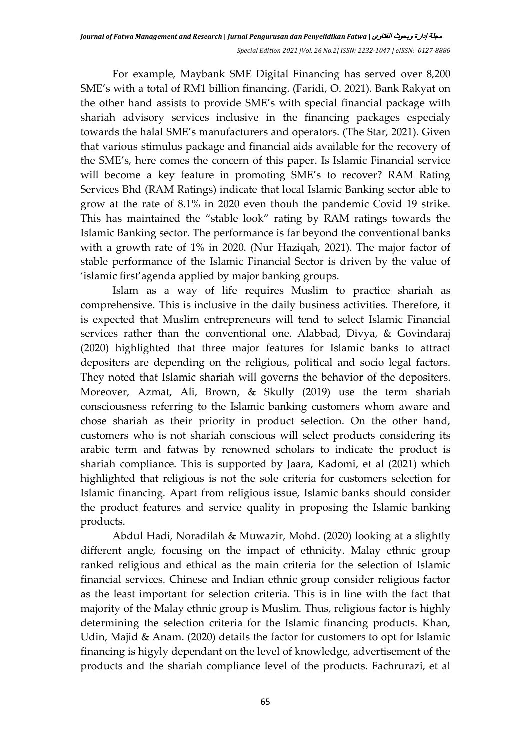For example, Maybank SME Digital Financing has served over 8,200 SME's with a total of RM1 billion financing. (Faridi, O. 2021). Bank Rakyat on the other hand assists to provide SME's with special financial package with shariah advisory services inclusive in the financing packages especialy towards the halal SME's manufacturers and operators. (The Star, 2021). Given that various stimulus package and financial aids available for the recovery of the SME's, here comes the concern of this paper. Is Islamic Financial service will become a key feature in promoting SME's to recover? RAM Rating Services Bhd (RAM Ratings) indicate that local Islamic Banking sector able to grow at the rate of 8.1% in 2020 even thouh the pandemic Covid 19 strike. This has maintained the "stable look" rating by RAM ratings towards the Islamic Banking sector. The performance is far beyond the conventional banks with a growth rate of 1% in 2020. (Nur Haziqah, 2021). The major factor of stable performance of the Islamic Financial Sector is driven by the value of 'islamic first'agenda applied by major banking groups.

Islam as a way of life requires Muslim to practice shariah as comprehensive. This is inclusive in the daily business activities. Therefore, it is expected that Muslim entrepreneurs will tend to select Islamic Financial services rather than the conventional one. Alabbad, Divya, & Govindaraj (2020) highlighted that three major features for Islamic banks to attract depositers are depending on the religious, political and socio legal factors. They noted that Islamic shariah will governs the behavior of the depositers. Moreover, Azmat, Ali, Brown, & Skully (2019) use the term shariah consciousness referring to the Islamic banking customers whom aware and chose shariah as their priority in product selection. On the other hand, customers who is not shariah conscious will select products considering its arabic term and fatwas by renowned scholars to indicate the product is shariah compliance. This is supported by Jaara, Kadomi, et al (2021) which highlighted that religious is not the sole criteria for customers selection for Islamic financing. Apart from religious issue, Islamic banks should consider the product features and service quality in proposing the Islamic banking products.

Abdul Hadi, Noradilah & Muwazir, Mohd. (2020) looking at a slightly different angle, focusing on the impact of ethnicity. Malay ethnic group ranked religious and ethical as the main criteria for the selection of Islamic financial services. Chinese and Indian ethnic group consider religious factor as the least important for selection criteria. This is in line with the fact that majority of the Malay ethnic group is Muslim. Thus, religious factor is highly determining the selection criteria for the Islamic financing products. Khan, Udin, Majid & Anam. (2020) details the factor for customers to opt for Islamic financing is higyly dependant on the level of knowledge, advertisement of the products and the shariah compliance level of the products. Fachrurazi, et al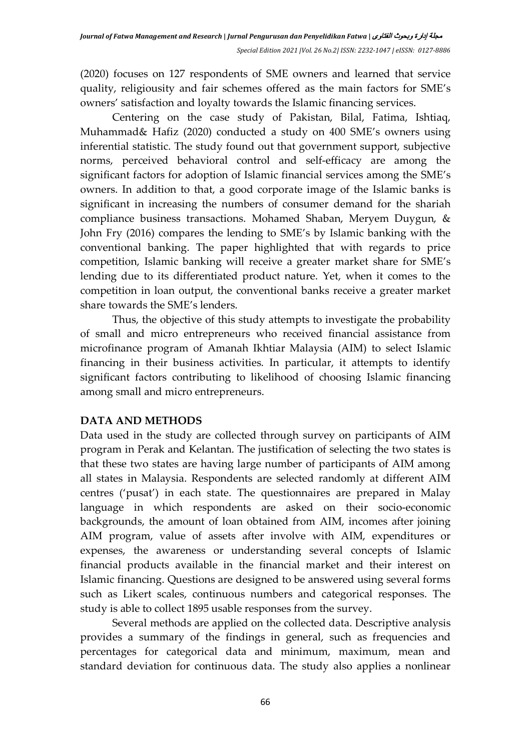(2020) focuses on 127 respondents of SME owners and learned that service quality, religiousity and fair schemes offered as the main factors for SME's owners' satisfaction and loyalty towards the Islamic financing services.

Centering on the case study of Pakistan, Bilal, Fatima, Ishtiaq, Muhammad& Hafiz (2020) conducted a study on 400 SME's owners using inferential statistic. The study found out that government support, subjective norms, perceived behavioral control and self-efficacy are among the significant factors for adoption of Islamic financial services among the SME's owners. In addition to that, a good corporate image of the Islamic banks is significant in increasing the numbers of consumer demand for the shariah compliance business transactions. Mohamed Shaban, Meryem Duygun, & John Fry (2016) compares the lending to SME's by Islamic banking with the conventional banking. The paper highlighted that with regards to price competition, Islamic banking will receive a greater market share for SME's lending due to its differentiated product nature. Yet, when it comes to the competition in loan output, the conventional banks receive a greater market share towards the SME's lenders.

Thus, the objective of this study attempts to investigate the probability of small and micro entrepreneurs who received financial assistance from microfinance program of Amanah Ikhtiar Malaysia (AIM) to select Islamic financing in their business activities. In particular, it attempts to identify significant factors contributing to likelihood of choosing Islamic financing among small and micro entrepreneurs.

## **DATA AND METHODS**

Data used in the study are collected through survey on participants of AIM program in Perak and Kelantan. The justification of selecting the two states is that these two states are having large number of participants of AIM among all states in Malaysia. Respondents are selected randomly at different AIM centres ('pusat') in each state. The questionnaires are prepared in Malay language in which respondents are asked on their socio-economic backgrounds, the amount of loan obtained from AIM, incomes after joining AIM program, value of assets after involve with AIM, expenditures or expenses, the awareness or understanding several concepts of Islamic financial products available in the financial market and their interest on Islamic financing. Questions are designed to be answered using several forms such as Likert scales, continuous numbers and categorical responses. The study is able to collect 1895 usable responses from the survey.

Several methods are applied on the collected data. Descriptive analysis provides a summary of the findings in general, such as frequencies and percentages for categorical data and minimum, maximum, mean and standard deviation for continuous data. The study also applies a nonlinear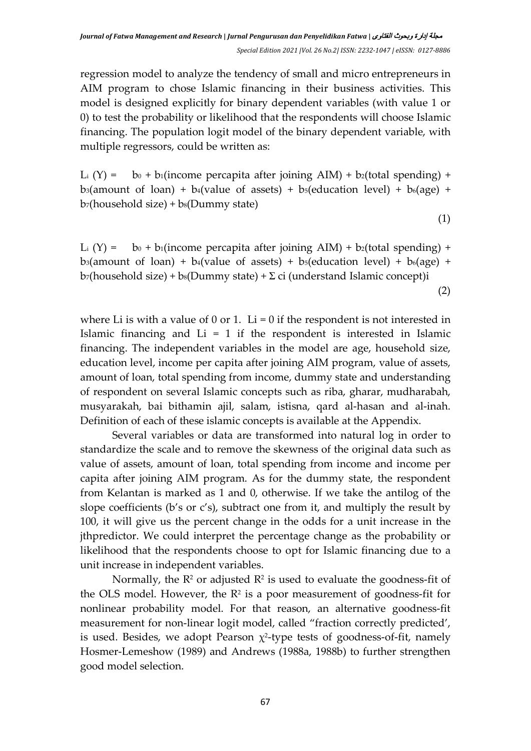regression model to analyze the tendency of small and micro entrepreneurs in AIM program to chose Islamic financing in their business activities. This model is designed explicitly for binary dependent variables (with value 1 or 0) to test the probability or likelihood that the respondents will choose Islamic financing. The population logit model of the binary dependent variable, with multiple regressors, could be written as:

L<sub>i</sub>  $(Y) =$  b<sub>0</sub> + b<sub>1</sub>(income percapita after joining AIM) + b<sub>2</sub>(total spending) + b<sub>3</sub>(amount of loan) + b<sub>4</sub>(value of assets) + b<sub>5</sub>(education level) + b<sub>6</sub>(age) +  $b_7$ (household size) +  $b_8$ (Dummy state)

(1)

L<sub>i</sub> (Y) = b<sub>0</sub> + b<sub>1</sub>(income percapita after joining AIM) + b<sub>2</sub>(total spending) + b<sub>3</sub>(amount of loan) + b<sub>4</sub>(value of assets) + b<sub>5</sub>(education level) + b<sub>6</sub>(age) +  $b_7$ (household size) +  $b_8$ (Dummy state) +  $\Sigma$  ci (understand Islamic concept)i (2)

where Li is with a value of 0 or 1. Li = 0 if the respondent is not interested in Islamic financing and  $Li = 1$  if the respondent is interested in Islamic financing. The independent variables in the model are age, household size, education level, income per capita after joining AIM program, value of assets, amount of loan, total spending from income, dummy state and understanding of respondent on several Islamic concepts such as riba, gharar, mudharabah, musyarakah, bai bithamin ajil, salam, istisna, qard al-hasan and al-inah. Definition of each of these islamic concepts is available at the Appendix.

Several variables or data are transformed into natural log in order to standardize the scale and to remove the skewness of the original data such as value of assets, amount of loan, total spending from income and income per capita after joining AIM program. As for the dummy state, the respondent from Kelantan is marked as 1 and 0, otherwise. If we take the antilog of the slope coefficients (b's or c's), subtract one from it, and multiply the result by 100, it will give us the percent change in the odds for a unit increase in the jthpredictor. We could interpret the percentage change as the probability or likelihood that the respondents choose to opt for Islamic financing due to a unit increase in independent variables.

Normally, the  $\mathbb{R}^2$  or adjusted  $\mathbb{R}^2$  is used to evaluate the goodness-fit of the OLS model. However, the  $\mathbb{R}^2$  is a poor measurement of goodness-fit for nonlinear probability model. For that reason, an alternative goodness-fit measurement for non-linear logit model, called "fraction correctly predicted', is used. Besides, we adopt Pearson  $\chi^2$ -type tests of goodness-of-fit, namely Hosmer-Lemeshow (1989) and Andrews (1988a, 1988b) to further strengthen good model selection.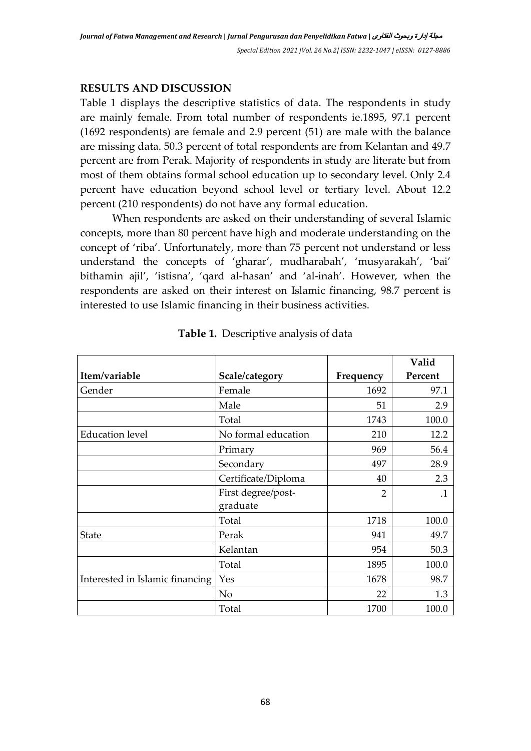### **RESULTS AND DISCUSSION**

Table 1 displays the descriptive statistics of data. The respondents in study are mainly female. From total number of respondents ie.1895, 97.1 percent (1692 respondents) are female and 2.9 percent (51) are male with the balance are missing data. 50.3 percent of total respondents are from Kelantan and 49.7 percent are from Perak. Majority of respondents in study are literate but from most of them obtains formal school education up to secondary level. Only 2.4 percent have education beyond school level or tertiary level. About 12.2 percent (210 respondents) do not have any formal education.

When respondents are asked on their understanding of several Islamic concepts, more than 80 percent have high and moderate understanding on the concept of 'riba'. Unfortunately, more than 75 percent not understand or less understand the concepts of 'gharar', mudharabah', 'musyarakah', 'bai' bithamin ajil', 'istisna', 'qard al-hasan' and 'al-inah'. However, when the respondents are asked on their interest on Islamic financing, 98.7 percent is interested to use Islamic financing in their business activities.

|                                 |                     |                | Valid     |
|---------------------------------|---------------------|----------------|-----------|
| Item/variable                   | Scale/category      | Frequency      | Percent   |
| Gender                          | Female              | 1692           | 97.1      |
|                                 | Male                | 51             | 2.9       |
|                                 | Total               | 1743           | 100.0     |
| <b>Education</b> level          | No formal education | 210            | 12.2      |
|                                 | Primary             | 969            | 56.4      |
|                                 | Secondary           | 497            | 28.9      |
|                                 | Certificate/Diploma | 40             | 2.3       |
|                                 | First degree/post-  | $\overline{2}$ | $\cdot$ 1 |
|                                 | graduate            |                |           |
|                                 | Total               | 1718           | 100.0     |
| <b>State</b>                    | Perak               | 941            | 49.7      |
|                                 | Kelantan            | 954            | 50.3      |
|                                 | Total               | 1895           | 100.0     |
| Interested in Islamic financing | Yes                 | 1678           | 98.7      |
|                                 | N <sub>o</sub>      | 22             | 1.3       |
|                                 | Total               | 1700           | 100.0     |

**Table 1.** Descriptive analysis of data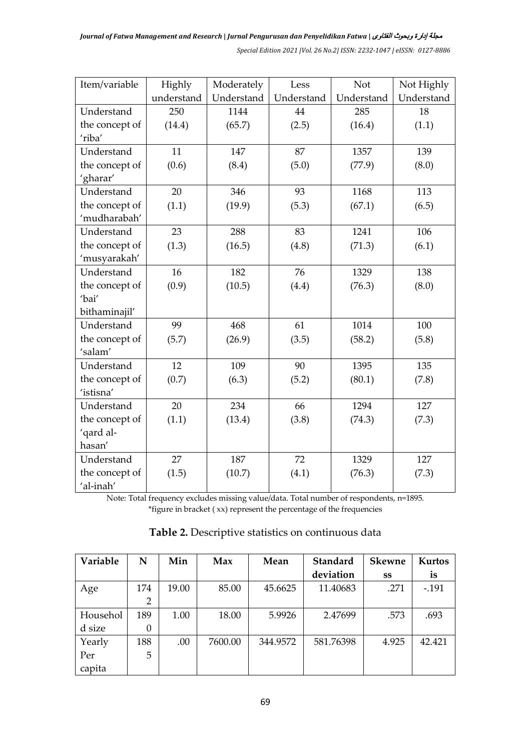| Item/variable  | Highly     | Moderately | Less       | Not        | Not Highly |
|----------------|------------|------------|------------|------------|------------|
|                | understand | Understand | Understand | Understand | Understand |
| Understand     | 250        | 1144       | 44         | 285        | 18         |
| the concept of | (14.4)     | (65.7)     | (2.5)      | (16.4)     | (1.1)      |
| 'riba'         |            |            |            |            |            |
| Understand     | 11         | 147        | 87         | 1357       | 139        |
| the concept of | (0.6)      | (8.4)      | (5.0)      | (77.9)     | (8.0)      |
| 'gharar'       |            |            |            |            |            |
| Understand     | 20         | 346        | 93         | 1168       | 113        |
| the concept of | (1.1)      | (19.9)     | (5.3)      | (67.1)     | (6.5)      |
| 'mudharabah'   |            |            |            |            |            |
| Understand     | 23         | 288        | 83         | 1241       | 106        |
| the concept of | (1.3)      | (16.5)     | (4.8)      | (71.3)     | (6.1)      |
| 'musyarakah'   |            |            |            |            |            |
| Understand     | 16         | 182        | 76         | 1329       | 138        |
| the concept of | (0.9)      | (10.5)     | (4.4)      | (76.3)     | (8.0)      |
| 'bai'          |            |            |            |            |            |
| bithaminajil'  |            |            |            |            |            |
| Understand     | 99         | 468        | 61         | 1014       | 100        |
| the concept of | (5.7)      | (26.9)     | (3.5)      | (58.2)     | (5.8)      |
| 'salam'        |            |            |            |            |            |
| Understand     | 12         | 109        | 90         | 1395       | 135        |
| the concept of | (0.7)      | (6.3)      | (5.2)      | (80.1)     | (7.8)      |
| 'istisna'      |            |            |            |            |            |
| Understand     | 20         | 234        | 66         | 1294       | 127        |
| the concept of | (1.1)      | (13.4)     | (3.8)      | (74.3)     | (7.3)      |
| 'qard al-      |            |            |            |            |            |
| hasan'         |            |            |            |            |            |
| Understand     | 27         | 187        | 72         | 1329       | 127        |
| the concept of | (1.5)      | (10.7)     | (4.1)      | (76.3)     | (7.3)      |
| 'al-inah'      |            |            |            |            |            |

Note: Total frequency excludes missing value/data. Total number of respondents, n=1895. \*figure in bracket ( xx) represent the percentage of the frequencies

| <b>Variable</b> | N              | Min   | Max     | Mean     | <b>Standard</b> | <b>Skewne</b> | Kurtos          |
|-----------------|----------------|-------|---------|----------|-----------------|---------------|-----------------|
|                 |                |       |         |          | deviation       | SS            | $\overline{1}S$ |
| Age             | 174            | 19.00 | 85.00   | 45.6625  | 11.40683        | .271          | $-.191$         |
|                 | $\overline{2}$ |       |         |          |                 |               |                 |
| Househol        | 189            | 1.00  | 18.00   | 5.9926   | 2.47699         | .573          | .693            |
| d size          | $\theta$       |       |         |          |                 |               |                 |
| Yearly          | 188            | .00   | 7600.00 | 344.9572 | 581.76398       | 4.925         | 42.421          |
| Per             | 5              |       |         |          |                 |               |                 |
| capita          |                |       |         |          |                 |               |                 |

### **Table 2.** Descriptive statistics on continuous data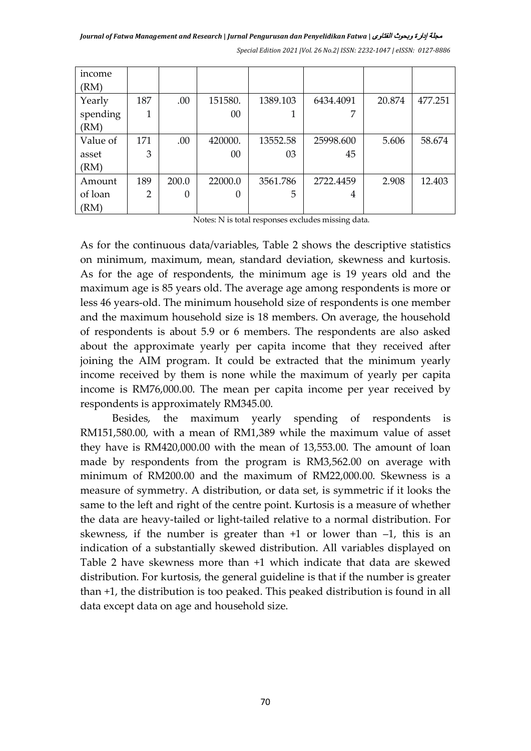*Journal of Fatwa Management and Research* **|** *Jurnal Pengurusan dan Penyelidikan Fatwa* **|** الفتاوى وبحوث إدارة مجلة

| income   |     |                  |         |          |           |        |         |
|----------|-----|------------------|---------|----------|-----------|--------|---------|
| (RM)     |     |                  |         |          |           |        |         |
| Yearly   | 187 | .00              | 151580. | 1389.103 | 6434.4091 | 20.874 | 477.251 |
| spending | 1   |                  | 00      |          | 7         |        |         |
| (RM)     |     |                  |         |          |           |        |         |
| Value of | 171 | .00              | 420000. | 13552.58 | 25998.600 | 5.606  | 58.674  |
| asset    | 3   |                  | 00      | 03       | 45        |        |         |
| (RM)     |     |                  |         |          |           |        |         |
| Amount   | 189 | 200.0            | 22000.0 | 3561.786 | 2722.4459 | 2.908  | 12.403  |
| of loan  | 2   | $\boldsymbol{0}$ | 0       | 5        | 4         |        |         |
| (RM)     |     |                  |         |          |           |        |         |

*Special Edition 2021 |Vol. 26 No.2| ISSN: 2232-1047 | eISSN: 0127-8886*

Notes: N is total responses excludes missing data.

As for the continuous data/variables, Table 2 shows the descriptive statistics on minimum, maximum, mean, standard deviation, skewness and kurtosis. As for the age of respondents, the minimum age is 19 years old and the maximum age is 85 years old. The average age among respondents is more or less 46 years-old. The minimum household size of respondents is one member and the maximum household size is 18 members. On average, the household of respondents is about 5.9 or 6 members. The respondents are also asked about the approximate yearly per capita income that they received after joining the AIM program. It could be extracted that the minimum yearly income received by them is none while the maximum of yearly per capita income is RM76,000.00. The mean per capita income per year received by respondents is approximately RM345.00.

Besides, the maximum yearly spending of respondents is RM151,580.00, with a mean of RM1,389 while the maximum value of asset they have is RM420,000.00 with the mean of 13,553.00. The amount of loan made by respondents from the program is RM3,562.00 on average with minimum of RM200.00 and the maximum of RM22,000.00. Skewness is a measure of symmetry. A distribution, or data set, is symmetric if it looks the same to the left and right of the centre point. Kurtosis is a measure of whether the data are heavy-tailed or light-tailed relative to a normal distribution. For skewness, if the number is greater than  $+1$  or lower than  $-1$ , this is an indication of a substantially skewed distribution. All variables displayed on Table 2 have skewness more than +1 which indicate that data are skewed distribution. For kurtosis, the general guideline is that if the number is greater than +1, the distribution is too peaked. This peaked distribution is found in all data except data on age and household size.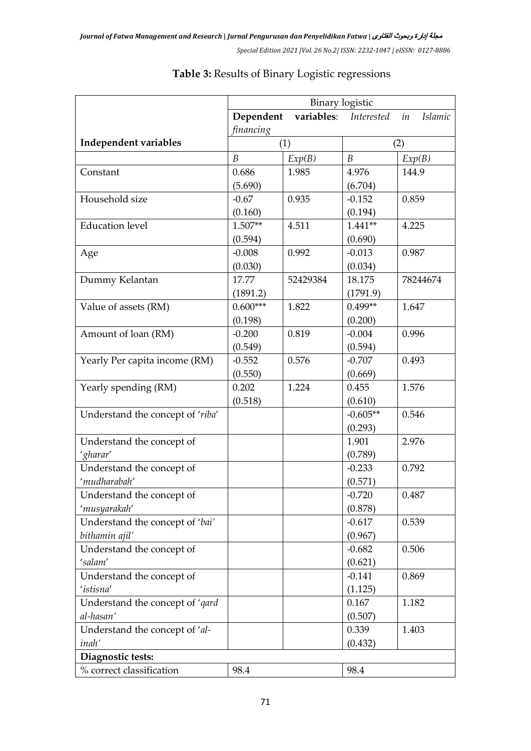|                                               | <b>Binary</b> logistic |            |                  |                      |
|-----------------------------------------------|------------------------|------------|------------------|----------------------|
|                                               | Dependent              | variables: | Interested       | in<br><b>Islamic</b> |
|                                               | financing              |            |                  |                      |
| Independent variables                         | (1)                    |            |                  | (2)                  |
|                                               | $\boldsymbol{B}$       | Exp(B)     | $\boldsymbol{B}$ | Exp(B)               |
| Constant                                      | 0.686                  | 1.985      | 4.976            | 144.9                |
|                                               | (5.690)                |            | (6.704)          |                      |
| Household size                                | $-0.67$                | 0.935      | $-0.152$         | 0.859                |
|                                               | (0.160)                |            | (0.194)          |                      |
| <b>Education level</b>                        | $1.507**$              | 4.511      | $1.441**$        | 4.225                |
|                                               | (0.594)                |            | (0.690)          |                      |
| Age                                           | $-0.008$               | 0.992      | $-0.013$         | 0.987                |
|                                               | (0.030)                |            | (0.034)          |                      |
| Dummy Kelantan                                | 17.77                  | 52429384   | 18.175           | 78244674             |
|                                               | (1891.2)               |            | (1791.9)         |                      |
| Value of assets (RM)                          | $0.600***$             | 1.822      | $0.499**$        | 1.647                |
|                                               | (0.198)                |            | (0.200)          |                      |
| Amount of loan (RM)                           | $-0.200$               | 0.819      | $-0.004$         | 0.996                |
|                                               | (0.549)                |            | (0.594)          |                      |
| Yearly Per capita income (RM)                 | $-0.552$               | 0.576      | $-0.707$         | 0.493                |
|                                               | (0.550)                |            | (0.669)          |                      |
| Yearly spending (RM)                          | 0.202                  | 1.224      | 0.455            | 1.576                |
|                                               | (0.518)                |            | (0.610)          |                      |
| Understand the concept of 'riba'              |                        |            | $-0.605**$       | 0.546                |
|                                               |                        |            | (0.293)          |                      |
| Understand the concept of                     |                        |            | 1.901            | 2.976                |
| 'gharar'                                      |                        |            | (0.789)          |                      |
| Understand the concept of                     |                        |            | $-0.233$         | 0.792                |
| 'mudharabah'                                  |                        |            | (0.571)          |                      |
| Understand the concept of                     |                        |            | $-0.720$         | 0.487                |
| 'musyarakah'                                  |                        |            | (0.878)          |                      |
| Understand the concept of 'bai'               |                        |            | $-0.617$         | 0.539                |
| bithamin ajil'                                |                        |            | (0.967)          |                      |
| Understand the concept of                     |                        |            | $-0.682$         | 0.506                |
| 'salam'                                       |                        |            | (0.621)          |                      |
| Understand the concept of<br>'istisna'        |                        |            | $-0.141$         | 0.869                |
|                                               |                        |            | (1.125)          |                      |
| Understand the concept of 'qard               |                        |            | 0.167            | 1.182                |
| al-hasan'                                     |                        |            | (0.507)<br>0.339 | 1.403                |
| Understand the concept of 'al-                |                        |            |                  |                      |
| inah'                                         |                        |            | (0.432)          |                      |
| Diagnostic tests:<br>% correct classification |                        |            |                  |                      |
|                                               | 98.4                   |            | 98.4             |                      |

## **Table 3:** Results of Binary Logistic regressions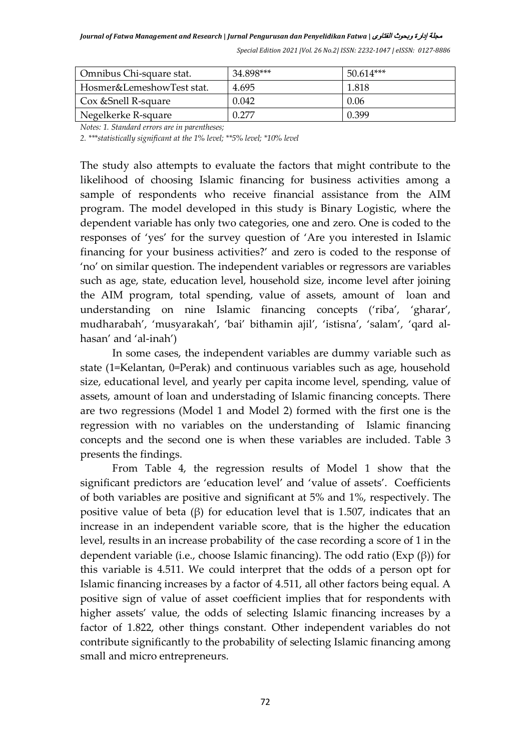| Omnibus Chi-square stat.  | 34.898*** | $50.614***$ |
|---------------------------|-----------|-------------|
| Hosmer&LemeshowTest stat. | 4.695     | 1.818       |
| Cox & Snell R-square      | 0.042     | 0.06        |
| Negelkerke R-square       | በ 277     | 0.399       |

*Notes: 1. Standard errors are in parentheses;*

*2. \*\*\*statistically significant at the 1% level; \*\*5% level; \*10% level*

The study also attempts to evaluate the factors that might contribute to the likelihood of choosing Islamic financing for business activities among a sample of respondents who receive financial assistance from the AIM program. The model developed in this study is Binary Logistic, where the dependent variable has only two categories, one and zero. One is coded to the responses of 'yes' for the survey question of 'Are you interested in Islamic financing for your business activities?' and zero is coded to the response of 'no' on similar question. The independent variables or regressors are variables such as age, state, education level, household size, income level after joining the AIM program, total spending, value of assets, amount of loan and understanding on nine Islamic financing concepts ('riba', 'gharar', mudharabah', 'musyarakah', 'bai' bithamin ajil', 'istisna', 'salam', 'qard alhasan' and 'al-inah')

In some cases, the independent variables are dummy variable such as state (1=Kelantan, 0=Perak) and continuous variables such as age, household size, educational level, and yearly per capita income level, spending, value of assets, amount of loan and understading of Islamic financing concepts. There are two regressions (Model 1 and Model 2) formed with the first one is the regression with no variables on the understanding of Islamic financing concepts and the second one is when these variables are included. Table 3 presents the findings.

From Table 4, the regression results of Model 1 show that the significant predictors are 'education level' and 'value of assets'. Coefficients of both variables are positive and significant at 5% and 1%, respectively. The positive value of beta  $(\beta)$  for education level that is 1.507, indicates that an increase in an independent variable score, that is the higher the education level, results in an increase probability of the case recording a score of 1 in the dependent variable (i.e., choose Islamic financing). The odd ratio (Exp (β)) for this variable is 4.511. We could interpret that the odds of a person opt for Islamic financing increases by a factor of 4.511, all other factors being equal. A positive sign of value of asset coefficient implies that for respondents with higher assets' value, the odds of selecting Islamic financing increases by a factor of 1.822, other things constant. Other independent variables do not contribute significantly to the probability of selecting Islamic financing among small and micro entrepreneurs.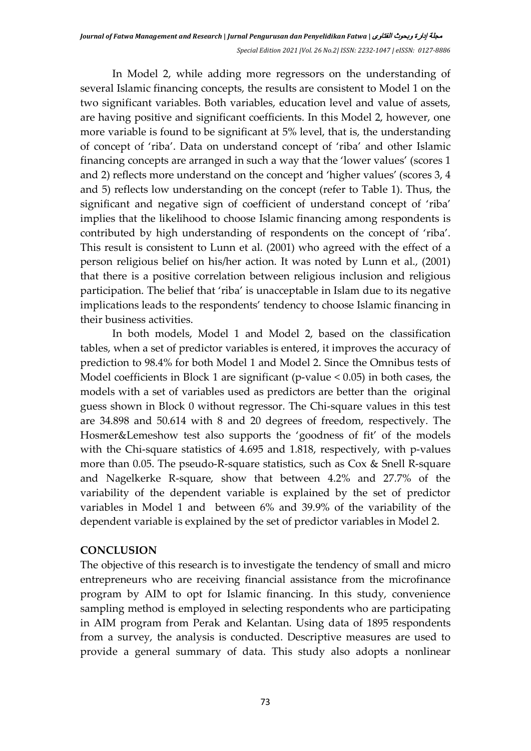In Model 2, while adding more regressors on the understanding of several Islamic financing concepts, the results are consistent to Model 1 on the two significant variables. Both variables, education level and value of assets, are having positive and significant coefficients. In this Model 2, however, one more variable is found to be significant at 5% level, that is, the understanding of concept of 'riba'. Data on understand concept of 'riba' and other Islamic financing concepts are arranged in such a way that the 'lower values' (scores 1 and 2) reflects more understand on the concept and 'higher values' (scores 3, 4 and 5) reflects low understanding on the concept (refer to Table 1). Thus, the significant and negative sign of coefficient of understand concept of 'riba' implies that the likelihood to choose Islamic financing among respondents is contributed by high understanding of respondents on the concept of 'riba'. This result is consistent to Lunn et al. (2001) who agreed with the effect of a person religious belief on his/her action. It was noted by Lunn et al., (2001) that there is a positive correlation between religious inclusion and religious participation. The belief that 'riba' is unacceptable in Islam due to its negative implications leads to the respondents' tendency to choose Islamic financing in their business activities.

In both models, Model 1 and Model 2, based on the classification tables, when a set of predictor variables is entered, it improves the accuracy of prediction to 98.4% for both Model 1 and Model 2. Since the Omnibus tests of Model coefficients in Block 1 are significant (p-value < 0.05) in both cases, the models with a set of variables used as predictors are better than the original guess shown in Block 0 without regressor. The Chi-square values in this test are 34.898 and 50.614 with 8 and 20 degrees of freedom, respectively. The Hosmer&Lemeshow test also supports the 'goodness of fit' of the models with the Chi-square statistics of 4.695 and 1.818, respectively, with p-values more than 0.05. The pseudo-R-square statistics, such as Cox & Snell R-square and Nagelkerke R-square, show that between 4.2% and 27.7% of the variability of the dependent variable is explained by the set of predictor variables in Model 1 and between 6% and 39.9% of the variability of the dependent variable is explained by the set of predictor variables in Model 2.

#### **CONCLUSION**

The objective of this research is to investigate the tendency of small and micro entrepreneurs who are receiving financial assistance from the microfinance program by AIM to opt for Islamic financing. In this study, convenience sampling method is employed in selecting respondents who are participating in AIM program from Perak and Kelantan. Using data of 1895 respondents from a survey, the analysis is conducted. Descriptive measures are used to provide a general summary of data. This study also adopts a nonlinear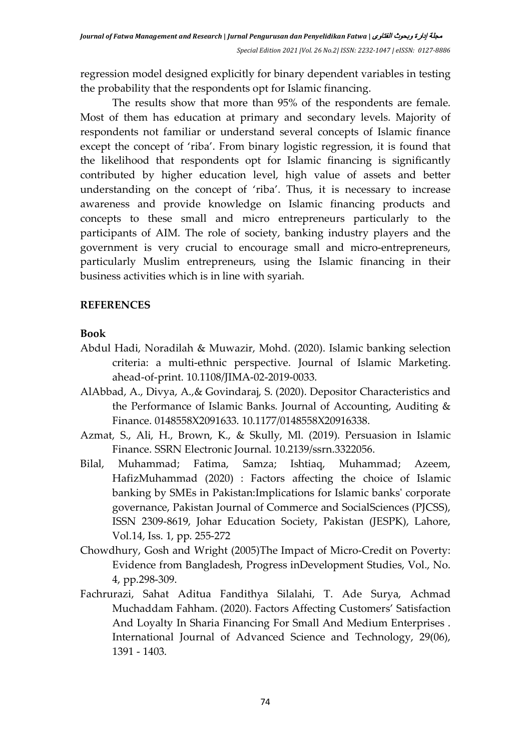regression model designed explicitly for binary dependent variables in testing the probability that the respondents opt for Islamic financing.

The results show that more than 95% of the respondents are female. Most of them has education at primary and secondary levels. Majority of respondents not familiar or understand several concepts of Islamic finance except the concept of 'riba'. From binary logistic regression, it is found that the likelihood that respondents opt for Islamic financing is significantly contributed by higher education level, high value of assets and better understanding on the concept of 'riba'. Thus, it is necessary to increase awareness and provide knowledge on Islamic financing products and concepts to these small and micro entrepreneurs particularly to the participants of AIM. The role of society, banking industry players and the government is very crucial to encourage small and micro-entrepreneurs, particularly Muslim entrepreneurs, using the Islamic financing in their business activities which is in line with syariah.

### **REFERENCES**

#### **Book**

- Abdul Hadi, Noradilah & Muwazir, Mohd. (2020). Islamic banking selection criteria: a multi-ethnic perspective. Journal of Islamic Marketing. ahead-of-print. 10.1108/JIMA-02-2019-0033.
- AlAbbad, A., Divya, A.,& Govindaraj, S. (2020). Depositor Characteristics and the Performance of Islamic Banks. Journal of Accounting, Auditing & Finance. 0148558X2091633. 10.1177/0148558X20916338.
- Azmat, S., Ali, H., Brown, K., & Skully, Ml. (2019). Persuasion in Islamic Finance. SSRN Electronic Journal. 10.2139/ssrn.3322056.
- Bilal, Muhammad; Fatima, Samza; Ishtiaq, Muhammad; Azeem, HafizMuhammad (2020) : Factors affecting the choice of Islamic banking by SMEs in Pakistan:Implications for Islamic banks' corporate governance, Pakistan Journal of Commerce and SocialSciences (PJCSS), ISSN 2309-8619, Johar Education Society, Pakistan (JESPK), Lahore, Vol.14, Iss. 1, pp. 255-272
- Chowdhury, Gosh and Wright (2005)The Impact of Micro-Credit on Poverty: Evidence from Bangladesh, Progress inDevelopment Studies, Vol., No. 4, pp.298-309.
- Fachrurazi, Sahat Aditua Fandithya Silalahi, T. Ade Surya, Achmad Muchaddam Fahham. (2020). Factors Affecting Customers' Satisfaction And Loyalty In Sharia Financing For Small And Medium Enterprises . International Journal of Advanced Science and Technology, 29(06), 1391 - 1403.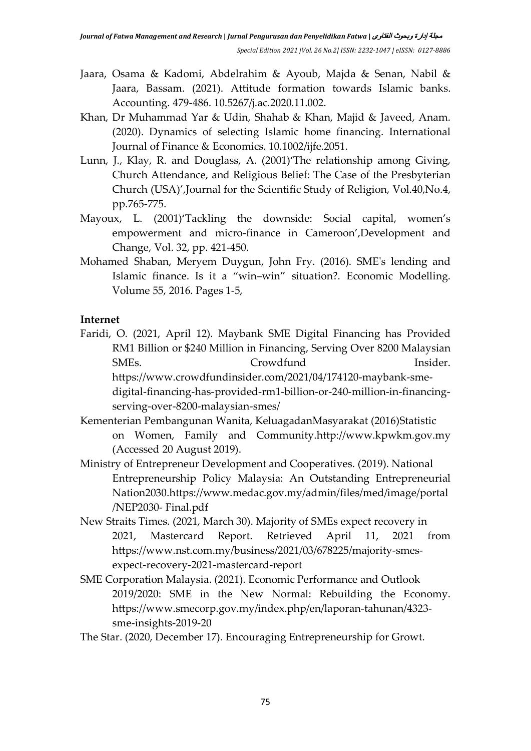- Jaara, Osama & Kadomi, Abdelrahim & Ayoub, Majda & Senan, Nabil & Jaara, Bassam. (2021). Attitude formation towards Islamic banks. Accounting. 479-486. 10.5267/j.ac.2020.11.002.
- Khan, Dr Muhammad Yar & Udin, Shahab & Khan, Majid & Javeed, Anam. (2020). Dynamics of selecting Islamic home financing. International Journal of Finance & Economics. 10.1002/ijfe.2051.
- Lunn, J., Klay, R. and Douglass, A. (2001)'The relationship among Giving, Church Attendance, and Religious Belief: The Case of the Presbyterian Church (USA)',Journal for the Scientific Study of Religion, Vol.40,No.4, pp.765-775.
- Mayoux, L. (2001)'Tackling the downside: Social capital, women's empowerment and micro-finance in Cameroon',Development and Change, Vol. 32, pp. 421-450.
- Mohamed Shaban, Meryem Duygun, John Fry. (2016). SME's lending and Islamic finance. Is it a "win–win" situation?. Economic Modelling. Volume 55, 2016. Pages 1-5,

### **Internet**

- Faridi, O. (2021, April 12). Maybank SME Digital Financing has Provided RM1 Billion or \$240 Million in Financing, Serving Over 8200 Malaysian SMEs. Crowdfund Insider. https://www.crowdfundinsider.com/2021/04/174120-maybank-smedigital-financing-has-provided-rm1-billion-or-240-million-in-financingserving-over-8200-malaysian-smes/
- Kementerian Pembangunan Wanita, KeluagadanMasyarakat (2016)Statistic on Women, Family and Community.http://www.kpwkm.gov.my (Accessed 20 August 2019).
- Ministry of Entrepreneur Development and Cooperatives. (2019). National Entrepreneurship Policy Malaysia: An Outstanding Entrepreneurial Nation2030.https://www.medac.gov.my/admin/files/med/image/portal /NEP2030- Final.pdf
- New Straits Times. (2021, March 30). Majority of SMEs expect recovery in 2021, Mastercard Report. Retrieved April 11, 2021 from https://www.nst.com.my/business/2021/03/678225/majority-smesexpect-recovery-2021-mastercard-report
- SME Corporation Malaysia. (2021). Economic Performance and Outlook 2019/2020: SME in the New Normal: Rebuilding the Economy. https://www.smecorp.gov.my/index.php/en/laporan-tahunan/4323 sme-insights-2019-20
- The Star. (2020, December 17). Encouraging Entrepreneurship for Growt.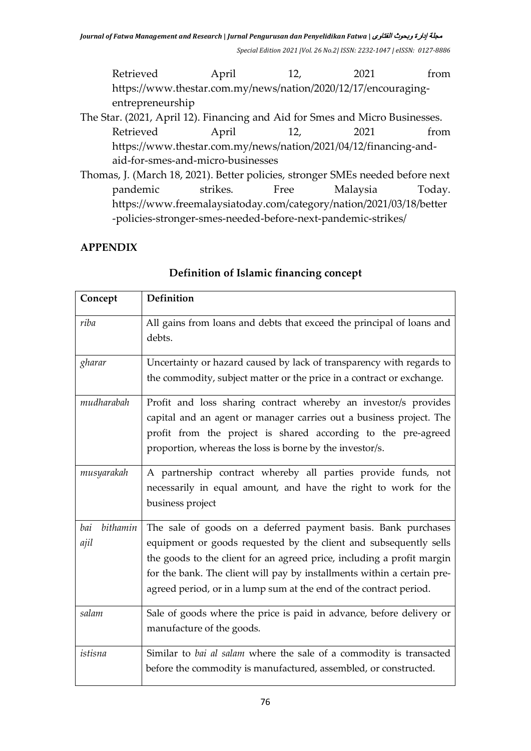Retrieved April 12, 2021 from https://www.thestar.com.my/news/nation/2020/12/17/encouragingentrepreneurship

The Star. (2021, April 12). Financing and Aid for Smes and Micro Businesses. Retrieved April 12, 2021 from https://www.thestar.com.my/news/nation/2021/04/12/financing-andaid-for-smes-and-micro-businesses

Thomas, J. (March 18, 2021). Better policies, stronger SMEs needed before next pandemic strikes. Free Malaysia Today. https://www.freemalaysiatoday.com/category/nation/2021/03/18/better -policies-stronger-smes-needed-before-next-pandemic-strikes/

# **APPENDIX**

| Concept                 | <b>Definition</b>                                                                                                                                                                                                                                                                                                                                             |
|-------------------------|---------------------------------------------------------------------------------------------------------------------------------------------------------------------------------------------------------------------------------------------------------------------------------------------------------------------------------------------------------------|
| riba                    | All gains from loans and debts that exceed the principal of loans and<br>debts.                                                                                                                                                                                                                                                                               |
| gharar                  | Uncertainty or hazard caused by lack of transparency with regards to<br>the commodity, subject matter or the price in a contract or exchange.                                                                                                                                                                                                                 |
| mudharabah              | Profit and loss sharing contract whereby an investor/s provides<br>capital and an agent or manager carries out a business project. The<br>profit from the project is shared according to the pre-agreed<br>proportion, whereas the loss is borne by the investor/s.                                                                                           |
| musyarakah              | A partnership contract whereby all parties provide funds, not<br>necessarily in equal amount, and have the right to work for the<br>business project                                                                                                                                                                                                          |
| bithamin<br>bai<br>ajil | The sale of goods on a deferred payment basis. Bank purchases<br>equipment or goods requested by the client and subsequently sells<br>the goods to the client for an agreed price, including a profit margin<br>for the bank. The client will pay by installments within a certain pre-<br>agreed period, or in a lump sum at the end of the contract period. |
| salam                   | Sale of goods where the price is paid in advance, before delivery or<br>manufacture of the goods.                                                                                                                                                                                                                                                             |
| istisna                 | Similar to bai al salam where the sale of a commodity is transacted<br>before the commodity is manufactured, assembled, or constructed.                                                                                                                                                                                                                       |

### **Definition of Islamic financing concept**